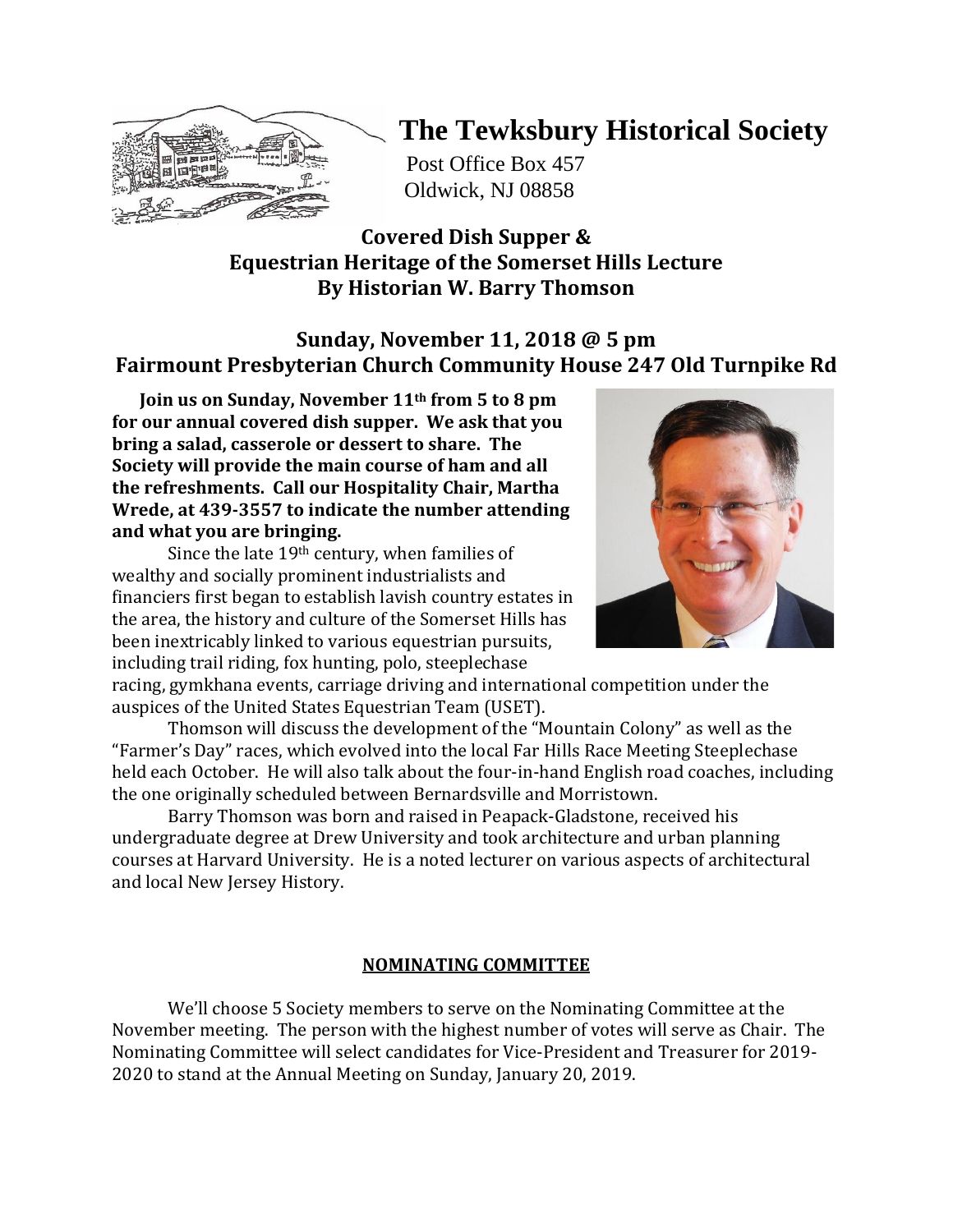

# **The Tewksbury Historical Society**

Post Office Box 457 Oldwick, NJ 08858

## **Covered Dish Supper & Equestrian Heritage of the Somerset Hills Lecture By Historian W. Barry Thomson**

# **Sunday, November 11, 2018 @ 5 pm Fairmount Presbyterian Church Community House 247 Old Turnpike Rd**

 **Join us on Sunday, November 11th from 5 to 8 pm for our annual covered dish supper. We ask that you bring a salad, casserole or dessert to share. The Society will provide the main course of ham and all the refreshments. Call our Hospitality Chair, Martha Wrede, at 439-3557 to indicate the number attending and what you are bringing.** 

Since the late 19th century, when families of wealthy and socially prominent industrialists and financiers first began to establish lavish country estates in the area, the history and culture of the Somerset Hills has been inextricably linked to various equestrian pursuits, including trail riding, fox hunting, polo, steeplechase



racing, gymkhana events, carriage driving and international competition under the auspices of the United States Equestrian Team (USET).

Thomson will discuss the development of the "Mountain Colony" as well as the "Farmer's Day" races, which evolved into the local Far Hills Race Meeting Steeplechase held each October. He will also talk about the four-in-hand English road coaches, including the one originally scheduled between Bernardsville and Morristown.

Barry Thomson was born and raised in Peapack-Gladstone, received his undergraduate degree at Drew University and took architecture and urban planning courses at Harvard University. He is a noted lecturer on various aspects of architectural and local New Jersey History.

### **NOMINATING COMMITTEE**

We'll choose 5 Society members to serve on the Nominating Committee at the November meeting. The person with the highest number of votes will serve as Chair. The Nominating Committee will select candidates for Vice-President and Treasurer for 2019- 2020 to stand at the Annual Meeting on Sunday, January 20, 2019.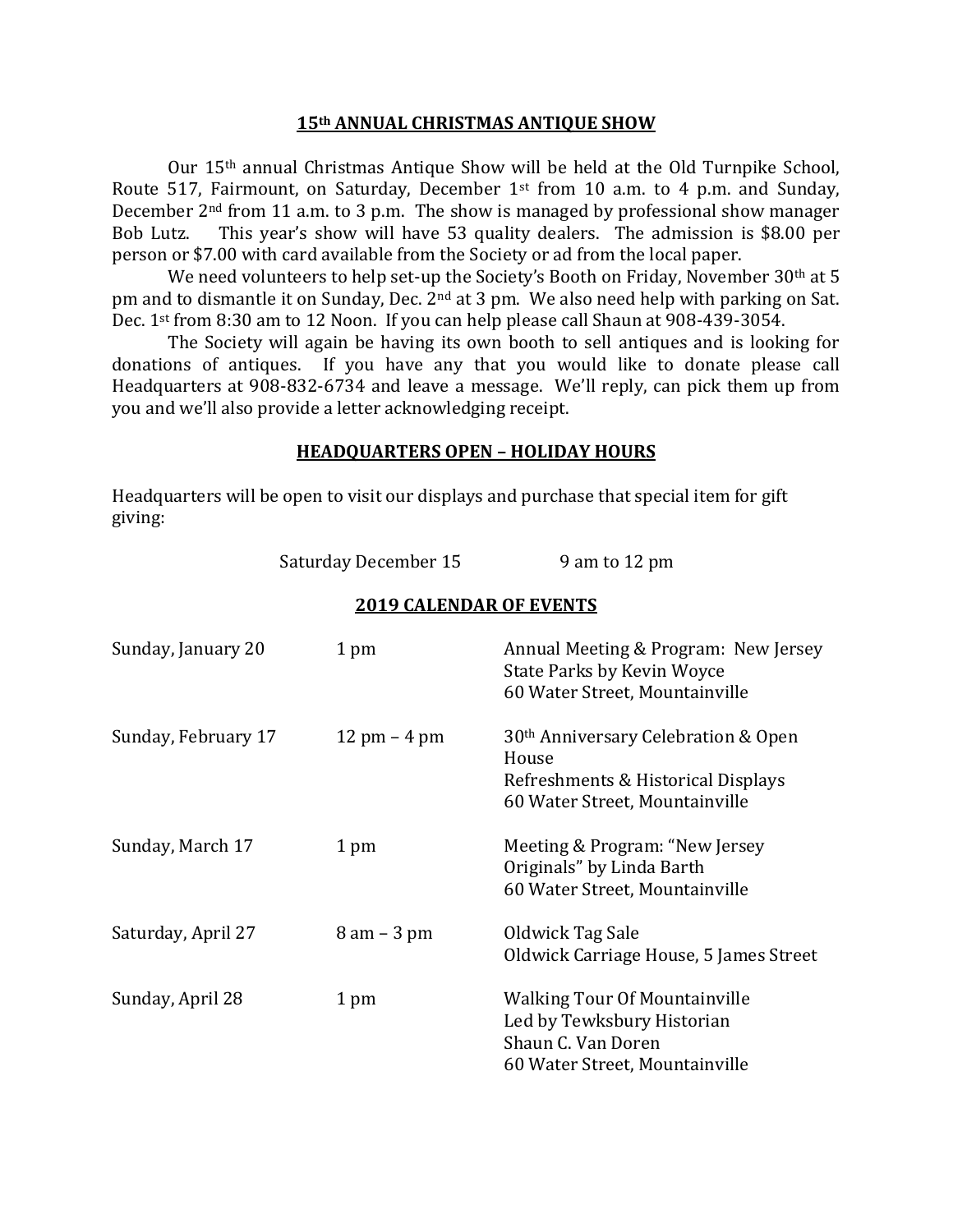#### **15th ANNUAL CHRISTMAS ANTIQUE SHOW**

Our 15th annual Christmas Antique Show will be held at the Old Turnpike School, Route 517, Fairmount, on Saturday, December 1st from 10 a.m. to 4 p.m. and Sunday, December 2nd from 11 a.m. to 3 p.m. The show is managed by professional show manager Bob Lutz. This year's show will have 53 quality dealers. The admission is \$8.00 per person or \$7.00 with card available from the Society or ad from the local paper.

We need volunteers to help set-up the Society's Booth on Friday, November 30<sup>th</sup> at 5 pm and to dismantle it on Sunday, Dec. 2nd at 3 pm. We also need help with parking on Sat. Dec. 1st from 8:30 am to 12 Noon. If you can help please call Shaun at 908-439-3054.

The Society will again be having its own booth to sell antiques and is looking for donations of antiques. If you have any that you would like to donate please call Headquarters at 908-832-6734 and leave a message. We'll reply, can pick them up from you and we'll also provide a letter acknowledging receipt.

#### **HEADQUARTERS OPEN – HOLIDAY HOURS**

Headquarters will be open to visit our displays and purchase that special item for gift giving:

| Saturday December 15 | 9 am to 12 pm |
|----------------------|---------------|
|----------------------|---------------|

#### **2019 CALENDAR OF EVENTS**

| Sunday, January 20  | 1 pm                           | Annual Meeting & Program: New Jersey<br><b>State Parks by Kevin Woyce</b><br>60 Water Street, Mountainville                      |
|---------------------|--------------------------------|----------------------------------------------------------------------------------------------------------------------------------|
| Sunday, February 17 | $12 \text{ pm} - 4 \text{ pm}$ | 30 <sup>th</sup> Anniversary Celebration & Open<br>House<br>Refreshments & Historical Displays<br>60 Water Street, Mountainville |
| Sunday, March 17    | 1 pm                           | Meeting & Program: "New Jersey<br>Originals" by Linda Barth<br>60 Water Street, Mountainville                                    |
| Saturday, April 27  | $8$ am $-3$ pm                 | Oldwick Tag Sale<br>Oldwick Carriage House, 5 James Street                                                                       |
| Sunday, April 28    | 1 pm                           | <b>Walking Tour Of Mountainville</b><br>Led by Tewksbury Historian<br>Shaun C. Van Doren<br>60 Water Street, Mountainville       |